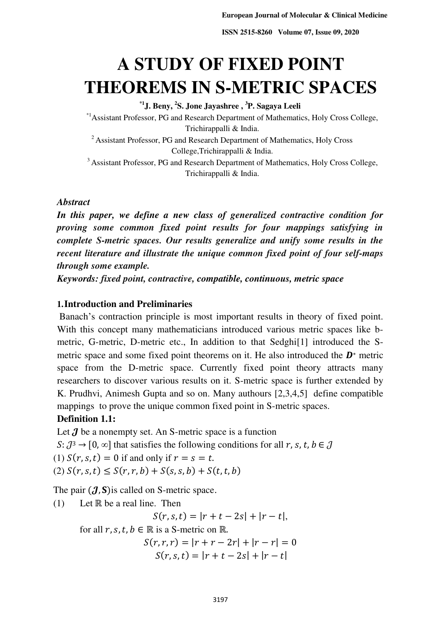# **A STUDY OF FIXED POINT THEOREMS IN S-METRIC SPACES**

**\*1J. Beny, <sup>2</sup> S. Jone Jayashree , <sup>3</sup>P. Sagaya Leeli** 

\*1Assistant Professor, PG and Research Department of Mathematics, Holy Cross College, Trichirappalli & India.

<sup>2</sup> Assistant Professor, PG and Research Department of Mathematics, Holy Cross College,Trichirappalli & India.

<sup>3</sup> Assistant Professor, PG and Research Department of Mathematics, Holy Cross College, Trichirappalli & India.

#### *Abstract*

*In this paper, we define a new class of generalized contractive condition for proving some common fixed point results for four mappings satisfying in complete S-metric spaces. Our results generalize and unify some results in the recent literature and illustrate the unique common fixed point of four self-maps through some example.*

*Keywords: fixed point, contractive, compatible, continuous, metric space* 

### **1.Introduction and Preliminaries**

Banach's contraction principle is most important results in theory of fixed point. With this concept many mathematicians introduced various metric spaces like bmetric, G-metric, D-metric etc., In addition to that Sedghi[1] introduced the Smetric space and some fixed point theorems on it. He also introduced the  $D^*$  metric space from the D-metric space. Currently fixed point theory attracts many researchers to discover various results on it. S-metric space is further extended by K. Prudhvi, Animesh Gupta and so on. Many authours [2,3,4,5] define compatible mappings to prove the unique common fixed point in S-metric spaces.

#### **Definition 1.1:**

Let  $J$  be a nonempty set. An S-metric space is a function

 $S: \mathcal{J}^3 \to [0, \infty]$  that satisfies the following conditions for all r, s, t,  $b \in \mathcal{J}$ 

(1)  $S(r, s, t) = 0$  if and only if  $r = s = t$ .

(2)  $S(r, s, t) \leq S(r, r, b) + S(s, s, b) + S(t, t, b)$ 

The pair  $(J, S)$  is called on S-metric space.

(1) Let R be a real line. Then

 $S(r, s, t) = |r + t - 2s| + |r - t|$ 

for all  $r, s, t, b \in \mathbb{R}$  is a S-metric on  $\mathbb{R}$ .

$$
S(r, r, r) = |r + r - 2r| + |r - r| = 0
$$
  

$$
S(r, s, t) = |r + t - 2s| + |r - t|
$$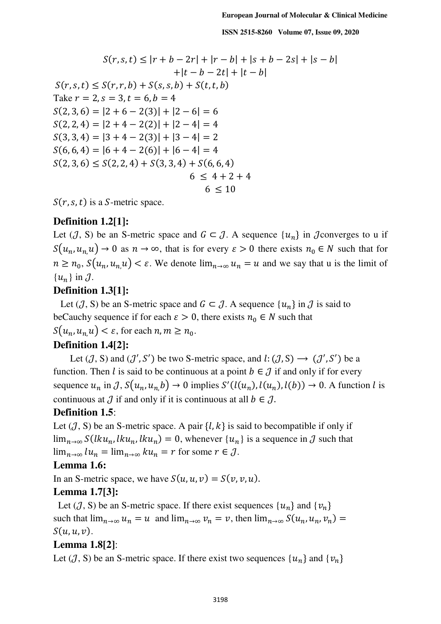$$
S(r, s, t) \le |r + b - 2r| + |r - b| + |s + b - 2s| + |s - b|
$$
  
+|t - b - 2t| + |t - b|  

$$
S(r, s, t) \le S(r, r, b) + S(s, s, b) + S(t, t, b)
$$
  
Take  $r = 2$ ,  $s = 3$ ,  $t = 6$ ,  $b = 4$   

$$
S(2, 3, 6) = |2 + 6 - 2(3)| + |2 - 6| = 6
$$
  

$$
S(2, 2, 4) = |2 + 4 - 2(2)| + |2 - 4| = 4
$$
  

$$
S(3, 3, 4) = |3 + 4 - 2(3)| + |3 - 4| = 2
$$
  

$$
S(6, 6, 4) = |6 + 4 - 2(6)| + |6 - 4| = 4
$$
  

$$
S(2, 3, 6) \le S(2, 2, 4) + S(3, 3, 4) + S(6, 6, 4)
$$
  

$$
6 \le 4 + 2 + 4
$$
  

$$
6 \le 10
$$

 $S(r, s, t)$  is a S-metric space.

# **Definition 1.2[1]:**

Let (J, S) be an S-metric space and  $G \subset J$ . A sequence  $\{u_n\}$  in J converges to u if  $S(u_n, u_n, u) \to 0$  as  $n \to \infty$ , that is for every  $\varepsilon > 0$  there exists  $n_0 \in N$  such that for  $n \geq n_0$ ,  $S(u_n, u_n, u) < \varepsilon$ . We denote  $\lim_{n \to \infty} u_n = u$  and we say that u is the limit of  ${u_n}$  in  $J$ .

# **Definition 1.3[1]:**

Let  $(J, S)$  be an S-metric space and  $G \subset J$ . A sequence  $\{u_n\}$  in  $J$  is said to beCauchy sequence if for each  $\varepsilon > 0$ , there exists  $n_0 \in N$  such that  $S(u_n, u_{n,\mathcal{U}}) < \varepsilon$ , for each  $n, m \geq n_0$ .

# **Definition 1.4[2]:**

Let  $(\mathcal{J}, S)$  and  $(\mathcal{J}', S')$  be two S-metric space, and  $l: (\mathcal{J}, S) \longrightarrow (\mathcal{J}', S')$  be a function. Then *l* is said to be continuous at a point  $b \in \mathcal{J}$  if and only if for every sequence  $u_n$  in J,  $S(u_n, u_{n,b}) \to 0$  implies  $S'(l(u_n), l(u_n), l(b)) \to 0$ . A function l is continuous at  $\mathcal J$  if and only if it is continuous at all  $b \in \mathcal J$ .

# **Definition 1.5**:

Let  $(J, S)$  be an S-metric space. A pair  $\{l, k\}$  is said to becompatible if only if  $\lim_{n\to\infty} S(lku_n, lku_n, lku_n) = 0$ , whenever  $\{u_n\}$  is a sequence in  $\mathcal J$  such that  $\lim_{n\to\infty} l u_n = \lim_{n\to\infty} k u_n = r$  for some  $r \in \mathcal{J}$ .

#### **Lemma 1.6:**

In an S-metric space, we have  $S(u, u, v) = S(v, v, u)$ .

#### **Lemma 1.7[3]:**

Let  $({\cal J}, S)$  be an S-metric space. If there exist sequences  $\{u_n\}$  and  $\{v_n\}$ such that  $\lim_{n\to\infty} u_n = u$  and  $\lim_{n\to\infty} v_n = v$ , then  $\lim_{n\to\infty} S(u_n, u_n, v_n) =$  $S(u, u, v)$ .

#### **Lemma 1.8[2]**:

Let  $({\cal J}, S)$  be an S-metric space. If there exist two sequences  $\{u_n\}$  and  $\{v_n\}$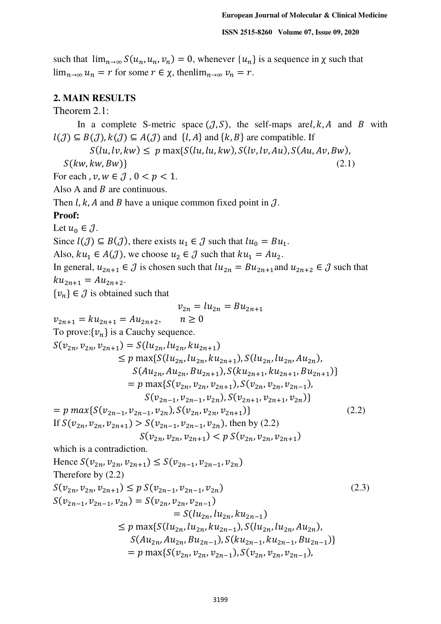such that  $\lim_{n\to\infty} S(u_n, u_n, v_n) = 0$ , whenever  $\{u_n\}$  is a sequence in  $\chi$  such that lim<sub>n→∞</sub>  $u_n = r$  for some  $r \in \chi$ , thenlim<sub>n→∞</sub>  $v_n = r$ .

#### **2. MAIN RESULTS**

Theorem 2.1:

In a complete S-metric space  $(J, S)$ , the self-maps are, k, A and B with  $l(\mathcal{J}) \subseteq B(\mathcal{J}), k(\mathcal{J}) \subseteq A(\mathcal{J})$  and  $\{l, A\}$  and  $\{k, B\}$  are compatible. If  $S(lu,lv, kw) \leq p \max\{S(lu, lu, kw), S(lv, lw), S(Au, Av, Bw)\}\$  $S(kw, kw, Bw)$  (2.1) For each,  $v, w \in \mathcal{J}$ ,  $0 < p < 1$ . Also A and B are continuous. Then  $l, k, A$  and B have a unique common fixed point in  $J$ . **Proof:** Let  $u_0 \in \mathcal{J}$ . Since  $l(\mathcal{J}) \subseteq B(\mathcal{J})$ , there exists  $u_1 \in \mathcal{J}$  such that  $lu_0 = Bu_1$ . Also,  $ku_1 \in A(\mathcal{J})$ , we choose  $u_2 \in \mathcal{J}$  such that  $ku_1 = Au_2$ . In general,  $u_{2n+1} \in \mathcal{J}$  is chosen such that  $lu_{2n} = Bu_{2n+1}$  and  $u_{2n+2} \in \mathcal{J}$  such that  $ku_{2n+1} = Au_{2n+2}$ .  $\{v_n\} \in \mathcal{J}$  is obtained such that  $v_{2n} = lu_{2n} = Bu_{2n+1}$  $v_{2n+1} = k u_{2n+1} = A u_{2n+2}, \quad n \ge 0$ To prove:  $\{v_n\}$  is a Cauchy sequence.  $S(v_{2n}, v_{2n}, v_{2n+1}) = S(lu_{2n}, lu_{2n}, ku_{2n+1})$  $\leq p \max\{S(lu_{2n}, lu_{2n}, ku_{2n+1}), S(lu_{2n}, lu_{2n}, Au_{2n}),\}$  $S(Au_{2n}, Au_{2n}, Bu_{2n+1}), S(ku_{2n+1}, ku_{2n+1}, Bu_{2n+1})\}$  $= p \max\{S(v_{2n}, v_{2n}, v_{2n+1}), S(v_{2n}, v_{2n}, v_{2n-1}),\}$  $S(v_{2n-1}, v_{2n-1}, v_{2n}), S(v_{2n+1}, v_{2n+1}, v_{2n})\}$  $= p \, max\{S(v_{2n-1}, v_{2n-1}, v_{2n}), S(v_{2n}, v_{2n}, v_{2n+1})\}$  (2.2) If  $S(v_{2n}, v_{2n}, v_{2n+1}) > S(v_{2n-1}, v_{2n-1}, v_{2n})$ , then by (2.2)  $(S(v_{2n}, v_{2n}, v_{2n+1}) < p S(v_{2n}, v_{2n}, v_{2n+1})$ which is a contradiction. Hence  $S(v_{2n}, v_{2n}, v_{2n+1}) \leq S(v_{2n-1}, v_{2n-1}, v_{2n})$ Therefore by (2.2)  $S(v_{2n}, v_{2n}, v_{2n+1}) \le p S(v_{2n-1}, v_{2n-1}, v_{2n})$  (2.3)  $S(v_{2n-1}, v_{2n-1}, v_{2n}) = S(v_{2n}, v_{2n}, v_{2n-1})$  $= S(lu_{2n}, lu_{2n}, ku_{2n-1})$  $\leq p \max\{S(lu_{2n}, lu_{2n}, ku_{2n-1}), S(lu_{2n}, lu_{2n}, Au_{2n}),\}$  $S(Au_{2n}, Au_{2n}, Bu_{2n-1}), S(ku_{2n-1}, ku_{2n-1}, Bu_{2n-1})\}$  $= p \max\{S(v_{2n}, v_{2n}, v_{2n-1}), S(v_{2n}, v_{2n}, v_{2n-1}),\}$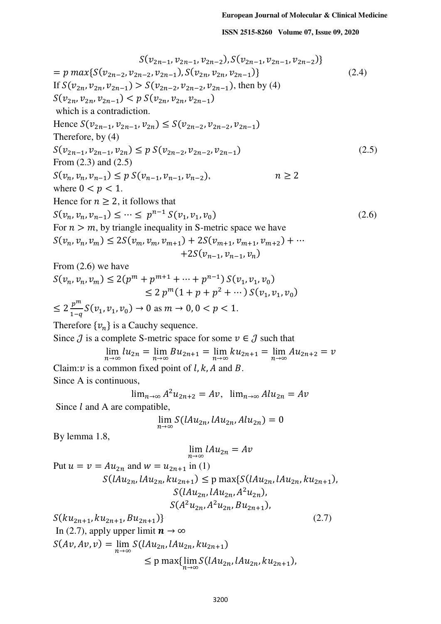$$
= p \max\{S(v_{2n-2}, v_{2n-2}, v_{2n-1}), S(v_{2n}, v_{2n}, v_{2n-1})\}
$$
\n(2.4)  
\nIf  $S(v_{2n}, v_{2n}, v_{2n-1}) > S(v_{2n-2}, v_{2n-2}, v_{2n-1}),$  then by (4)  
\n $S(v_{2n}, v_{2n}, v_{2n-1}) < p \leq S(v_{2n}, v_{2n}, v_{2n-1})$   
\nwhich is a contradiction.  
\nHence  $S(v_{2n-1}, v_{2n-1}, v_{2n}) \leq S(v_{2n-2}, v_{2n-2}, v_{2n-1})$   
\nTherefore, by (4)  
\n $S(v_{2n-1}, v_{2n-1}, v_{2n}) \leq p \leq V(v_{2n-2}, v_{2n-2}, v_{2n-1})$   
\nTherefore, by (4)  
\n $S(v_{2n}, v_{n}, v_{n-1}) \leq p \leq V(v_{2n-1}, v_{n-1}, v_{n-2}),$   $n \geq 2$   
\nwhere 0  $q \leq p \leq 1$ .  
\nHence for  $n \geq 2$ , it follows that  
\n $S(v_n, v_n, v_m) \leq 2S(v_m, v_m, v_{m+1}) + 2S(v_{m+1}, v_{m+1}, v_{m+2}) + \cdots$   
\n $+ 2S(v_{n-1}, v_{n-1}, v_n)$   
\nFrom (2.6) we have  
\n $S(v_n, v_n, v_m) \leq 2(p^m + p^{m+1} + \cdots + p^{n-1}) S(v_1, v_1, v_0)$   
\n $\leq 2 p^m (1 + p + p^2 + \cdots) S(v_1, v_1, v_0)$   
\n $\leq 2 p^m (1 + p + p^2 + \cdots) S(v_1, v_1, v_0)$   
\n $\leq 2 p^m (1 + p + p^2 + \cdots) S(v_1, v_1, v_0)$   
\n $\leq 2 p^m (1 + p + p^2 + \cdots) S(v_1, v_1, v_0)$   
\n $\leq 2 p^m (1 + p + p^2 + \cdots) S(v_1, v_1, v$ 

 $S(v_{2n-1}, v_{2n-1}, v_{2n-2}), S(v_{2n-1}, v_{2n-1}, v_{2n-2})\}$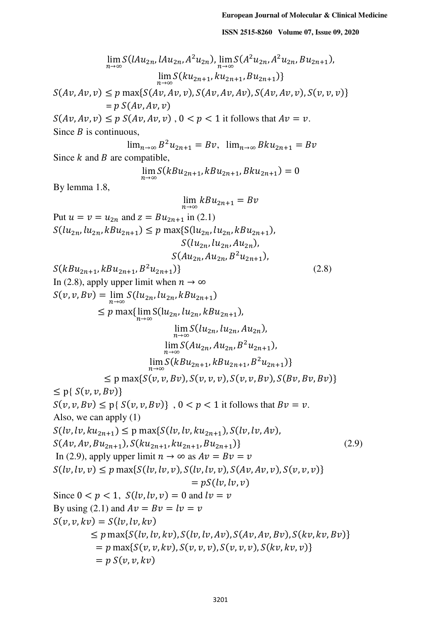$$
\lim_{n\to\infty} S(lAu_{2n}, Hu_{2n}, A^2u_{2n}), \lim_{n\to\infty} S(A^2u_{2n}, A^2u_{2n}, Bu_{2n+1}),
$$
\n
$$
\lim_{n\to\infty} S(ku_{2n+1}, ku_{2n+1}, Bu_{2n+1})
$$
\n
$$
S(Av, Av, v) \leq p \max\{S(ku, Av, v), S(Av, Av, Av), S(Av, Av, v), S(v, v, v)\}
$$
\n
$$
= p S(Av, Av, v)
$$
\n
$$
S(Av, Av, v) \leq p S(Av, Av, v), 0 < p < 1 \text{ it follows that } Av = v.
$$
\nSince B is continuous,\n
$$
\lim_{n\to\infty} B^2u_{2n+1} = Bv, \lim_{n\to\infty} Bku_{2n+1} = Bv
$$
\nSince k and B are compatible,\n
$$
\lim_{n\to\infty} (kBu_{2n+1}, kBu_{2n+1}, BKu_{2n+1}) = 0
$$
\nBy lemma 1.8,\n
$$
\lim_{n\to\infty} kBu_{2n+1} = Bv
$$
\nPut  $u = v = u_{2n}$  and  $z = Bu_{2n+1}$  in (2.1)\n
$$
S(lu_{2n}, lu_{2n}, Ku_{2n}, Ku_{2n+1}),
$$
\n
$$
S(lu_{2n}, lu_{2n}, Ku_{2n}, Bu_{2n+1}),
$$
\n
$$
S(Au_{2n}, Au_{2n}, Bu_{2n+1}),
$$
\n
$$
S(Au_{2n}, Au_{2n}, Bu_{2n+1}),
$$
\n
$$
S(Au_{2n}, Au_{2n}, Bu_{2n+1}),
$$
\n
$$
S(kBu_{2n+1}, B^2u_{2n+1})
$$
\n
$$
= S(v, v, Bv) = \lim_{n\to\infty} S(lu_{2n}, lu_{2n}, ku_{2n+1}),
$$
\n
$$
\lim_{n\to\infty} S(lu_{2n}, lu_{2n}, Ku_{2n+1}),
$$
\n
$$
\lim_{n\to\infty} S(lu_{2n}, Au_{2n+1}),
$$
\n
$$
\lim_{n\to\infty} S(lu_{2n}, Au_{2n+1}),
$$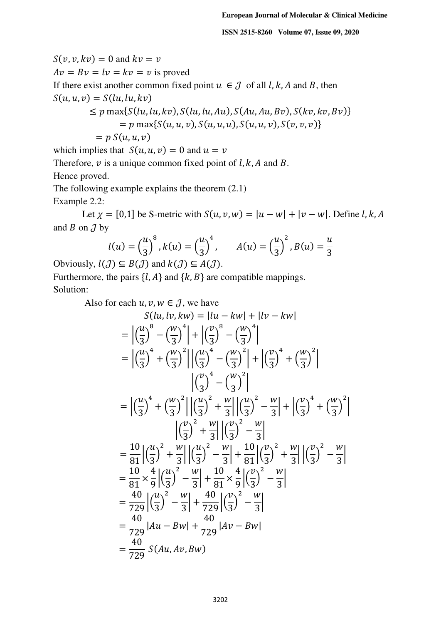$S(v, v, kv) = 0$  and  $kv = v$  $Av = Bv = lv = kv = v$  is proved If there exist another common fixed point  $u \in J$  of all l, k, A and B, then  $S(u, u, v) = S(lu, lu, kv)$  $\leq p \max\{S(lu, lu, kv), S(lu, lu, Au), S(Au, Au, Bv), S(kv, kv, Bv)\}\$  $= p \max\{S(u, u, v), S(u, u, u), S(u, u, v), S(v, v, v)\}\$  $= p S(u, u, v)$ 

which implies that  $S(u, u, v) = 0$  and  $u = v$ Therefore,  $\nu$  is a unique common fixed point of  $l, k, A$  and  $B$ . Hence proved.

The following example explains the theorem (2.1) Example 2.2:

Let  $\gamma = [0,1]$  be S-metric with  $S(u, v, w) = |u - w| + |v - w|$ . Define l, k, A and  $B$  on  $J$  by

$$
l(u) = \left(\frac{u}{3}\right)^8, k(u) = \left(\frac{u}{3}\right)^4, \qquad A(u) = \left(\frac{u}{3}\right)^2, B(u) = \frac{u}{3}
$$

Obviously,  $l(\mathcal{J}) \subseteq B(\mathcal{J})$  and  $k(\mathcal{J}) \subseteq A(\mathcal{J})$ . Furthermore, the pairs  $\{l, A\}$  and  $\{k, B\}$  are compatible mappings. Solution:

Also for each  $u, v, w \in \mathcal{J}$ , we have

$$
S(lu,lv,kw) = |lu - kw| + |lv - kw|
$$
  
\n
$$
= \left| \left( \frac{u}{3} \right)^8 - \left( \frac{w}{3} \right)^4 \right| + \left| \left( \frac{v}{3} \right)^8 - \left( \frac{w}{3} \right)^4 \right|
$$
  
\n
$$
= \left| \left( \frac{u}{3} \right)^4 + \left( \frac{w}{3} \right)^2 \right| \left| \left( \frac{u}{3} \right)^4 - \left( \frac{w}{3} \right)^2 \right| + \left| \left( \frac{v}{3} \right)^4 + \left( \frac{w}{3} \right)^2 \right|
$$
  
\n
$$
\left| \left( \frac{v}{3} \right)^4 - \left( \frac{w}{3} \right)^2 \right|
$$
  
\n
$$
= \left| \left( \frac{u}{3} \right)^4 + \left( \frac{w}{3} \right)^2 \right| \left| \left( \frac{u}{3} \right)^2 + \frac{w}{3} \right| \left| \left( \frac{u}{3} \right)^2 - \frac{w}{3} \right| + \left| \left( \frac{v}{3} \right)^4 + \left( \frac{w}{3} \right)^2 \right|
$$
  
\n
$$
\left| \left( \frac{v}{3} \right)^2 + \frac{w}{3} \right| \left| \left( \frac{v}{3} \right)^2 - \frac{w}{3} \right|
$$
  
\n
$$
= \frac{10}{81} \left| \left( \frac{u}{3} \right)^2 + \frac{w}{3} \right| \left| \left( \frac{u}{3} \right)^2 - \frac{w}{3} \right| + \frac{10}{81} \left| \left( \frac{v}{3} \right)^2 + \frac{w}{3} \right| \left| \left( \frac{v}{3} \right)^2 - \frac{w}{3} \right|
$$
  
\n
$$
= \frac{10}{81} \times \frac{4}{9} \left| \left( \frac{u}{3} \right)^2 - \frac{w}{3} \right| + \frac{10}{81} \times \frac{4}{9} \left| \left( \frac{v}{3} \right)^2 - \frac{w}{3} \right|
$$
  
\n
$$
= \frac{40}{729} \left| \left( \frac{u
$$